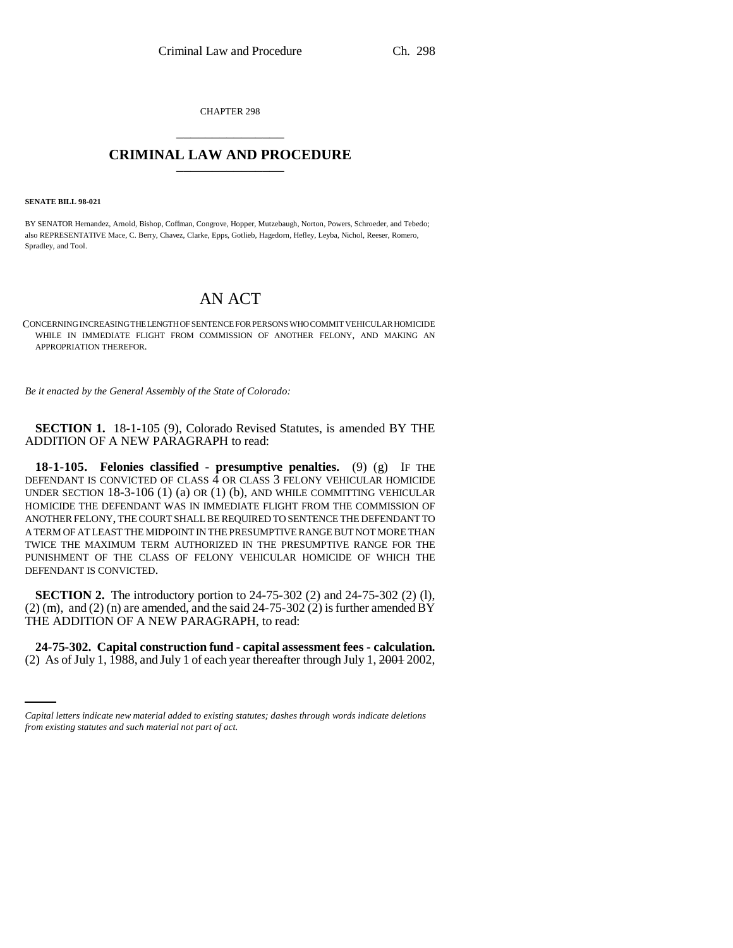CHAPTER 298 \_\_\_\_\_\_\_\_\_\_\_\_\_\_\_

## **CRIMINAL LAW AND PROCEDURE** \_\_\_\_\_\_\_\_\_\_\_\_\_\_\_

**SENATE BILL 98-021**

BY SENATOR Hernandez, Arnold, Bishop, Coffman, Congrove, Hopper, Mutzebaugh, Norton, Powers, Schroeder, and Tebedo; also REPRESENTATIVE Mace, C. Berry, Chavez, Clarke, Epps, Gotlieb, Hagedorn, Hefley, Leyba, Nichol, Reeser, Romero, Spradley, and Tool.

## AN ACT

CONCERNING INCREASING THE LENGTH OF SENTENCE FOR PERSONS WHO COMMIT VEHICULAR HOMICIDE WHILE IN IMMEDIATE FLIGHT FROM COMMISSION OF ANOTHER FELONY, AND MAKING AN APPROPRIATION THEREFOR.

*Be it enacted by the General Assembly of the State of Colorado:*

**SECTION 1.** 18-1-105 (9), Colorado Revised Statutes, is amended BY THE ADDITION OF A NEW PARAGRAPH to read:

**18-1-105. Felonies classified - presumptive penalties.** (9) (g) IF THE DEFENDANT IS CONVICTED OF CLASS 4 OR CLASS 3 FELONY VEHICULAR HOMICIDE UNDER SECTION 18-3-106 (1) (a) OR (1) (b), AND WHILE COMMITTING VEHICULAR HOMICIDE THE DEFENDANT WAS IN IMMEDIATE FLIGHT FROM THE COMMISSION OF ANOTHER FELONY, THE COURT SHALL BE REQUIRED TO SENTENCE THE DEFENDANT TO A TERM OF AT LEAST THE MIDPOINT IN THE PRESUMPTIVE RANGE BUT NOT MORE THAN TWICE THE MAXIMUM TERM AUTHORIZED IN THE PRESUMPTIVE RANGE FOR THE PUNISHMENT OF THE CLASS OF FELONY VEHICULAR HOMICIDE OF WHICH THE DEFENDANT IS CONVICTED.

**SECTION 2.** The introductory portion to 24-75-302 (2) and 24-75-302 (2) (1),  $(2)$  (m), and  $(2)$  (n) are amended, and the said 24-75-302  $(2)$  is further amended BY THE ADDITION OF A NEW PARAGRAPH, to read:

 **24-75-302. Capital construction fund - capital assessment fees - calculation.** (2) As of July 1, 1988, and July 1 of each year thereafter through July 1,  $2001$ ,  $2002$ ,

*Capital letters indicate new material added to existing statutes; dashes through words indicate deletions from existing statutes and such material not part of act.*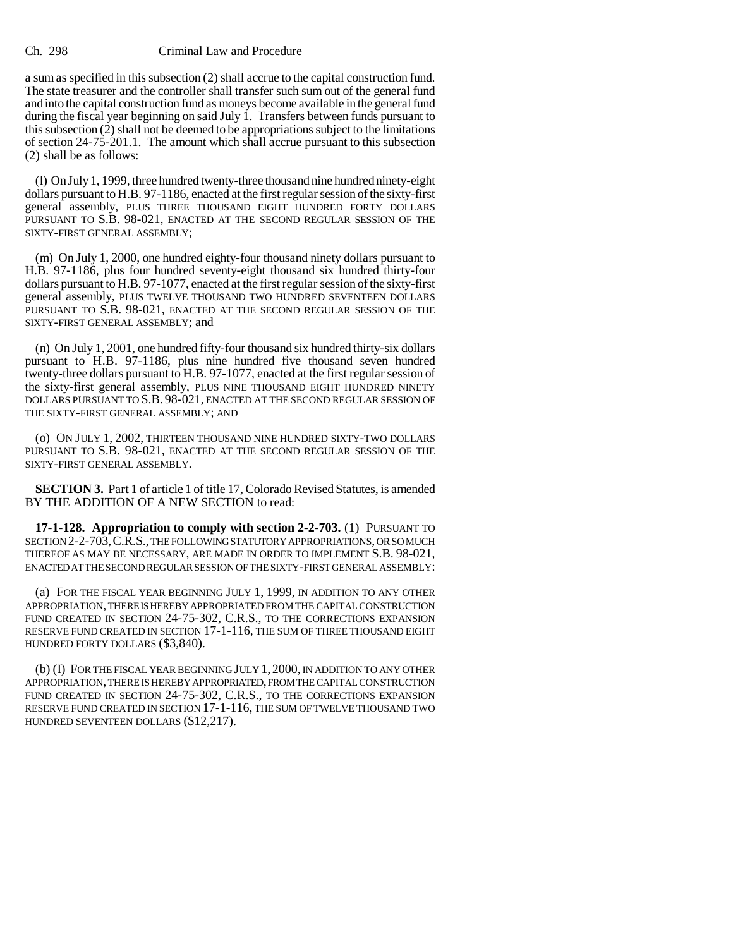## Ch. 298 Criminal Law and Procedure

a sum as specified in this subsection (2) shall accrue to the capital construction fund. The state treasurer and the controller shall transfer such sum out of the general fund and into the capital construction fund as moneys become available in the general fund during the fiscal year beginning on said July 1. Transfers between funds pursuant to this subsection (2) shall not be deemed to be appropriations subject to the limitations of section 24-75-201.1. The amount which shall accrue pursuant to this subsection (2) shall be as follows:

(l) On July 1, 1999, three hundred twenty-three thousand nine hundred ninety-eight dollars pursuant to H.B. 97-1186, enacted at the first regular session of the sixty-first general assembly, PLUS THREE THOUSAND EIGHT HUNDRED FORTY DOLLARS PURSUANT TO S.B. 98-021, ENACTED AT THE SECOND REGULAR SESSION OF THE SIXTY-FIRST GENERAL ASSEMBLY;

(m) On July 1, 2000, one hundred eighty-four thousand ninety dollars pursuant to H.B. 97-1186, plus four hundred seventy-eight thousand six hundred thirty-four dollars pursuant to H.B. 97-1077, enacted at the first regular session of the sixty-first general assembly, PLUS TWELVE THOUSAND TWO HUNDRED SEVENTEEN DOLLARS PURSUANT TO S.B. 98-021, ENACTED AT THE SECOND REGULAR SESSION OF THE SIXTY-FIRST GENERAL ASSEMBLY; and

(n) On July 1, 2001, one hundred fifty-four thousand six hundred thirty-six dollars pursuant to H.B. 97-1186, plus nine hundred five thousand seven hundred twenty-three dollars pursuant to H.B. 97-1077, enacted at the first regular session of the sixty-first general assembly, PLUS NINE THOUSAND EIGHT HUNDRED NINETY DOLLARS PURSUANT TO S.B. 98-021, ENACTED AT THE SECOND REGULAR SESSION OF THE SIXTY-FIRST GENERAL ASSEMBLY; AND

(o) ON JULY 1, 2002, THIRTEEN THOUSAND NINE HUNDRED SIXTY-TWO DOLLARS PURSUANT TO S.B. 98-021, ENACTED AT THE SECOND REGULAR SESSION OF THE SIXTY-FIRST GENERAL ASSEMBLY.

**SECTION 3.** Part 1 of article 1 of title 17, Colorado Revised Statutes, is amended BY THE ADDITION OF A NEW SECTION to read:

**17-1-128. Appropriation to comply with section 2-2-703.** (1) PURSUANT TO SECTION 2-2-703, C.R.S., THE FOLLOWING STATUTORY APPROPRIATIONS, OR SO MUCH THEREOF AS MAY BE NECESSARY, ARE MADE IN ORDER TO IMPLEMENT S.B. 98-021, ENACTED AT THE SECOND REGULAR SESSION OF THE SIXTY-FIRST GENERAL ASSEMBLY:

(a) FOR THE FISCAL YEAR BEGINNING JULY 1, 1999, IN ADDITION TO ANY OTHER APPROPRIATION, THERE IS HEREBY APPROPRIATED FROM THE CAPITAL CONSTRUCTION FUND CREATED IN SECTION 24-75-302, C.R.S., TO THE CORRECTIONS EXPANSION RESERVE FUND CREATED IN SECTION 17-1-116, THE SUM OF THREE THOUSAND EIGHT HUNDRED FORTY DOLLARS (\$3,840).

(b) (I) FOR THE FISCAL YEAR BEGINNING JULY 1, 2000, IN ADDITION TO ANY OTHER APPROPRIATION, THERE IS HEREBY APPROPRIATED, FROM THECAPITAL CONSTRUCTION FUND CREATED IN SECTION 24-75-302, C.R.S., TO THE CORRECTIONS EXPANSION RESERVE FUND CREATED IN SECTION 17-1-116, THE SUM OF TWELVE THOUSAND TWO HUNDRED SEVENTEEN DOLLARS (\$12,217).